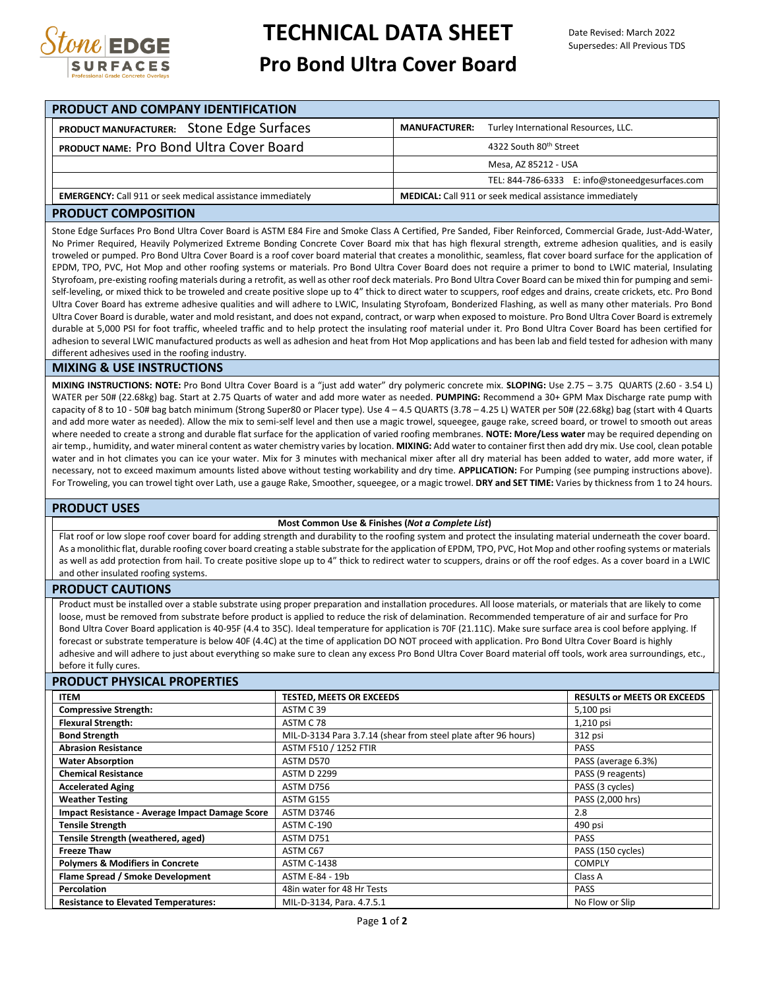

# **TECHNICAL DATA SHEET Pro Bond Ultra Cover Board**

| <b>PRODUCT AND COMPANY IDENTIFICATION</b> |                                                                   |                      |                                                                 |  |
|-------------------------------------------|-------------------------------------------------------------------|----------------------|-----------------------------------------------------------------|--|
|                                           | PRODUCT MANUFACTURER: Stone Edge Surfaces                         | <b>MANUFACTURER:</b> | Turley International Resources, LLC.                            |  |
|                                           | PRODUCT NAME: Pro Bond Ultra Cover Board                          |                      | 4322 South 80th Street                                          |  |
|                                           |                                                                   |                      | Mesa, AZ 85212 - USA                                            |  |
|                                           |                                                                   |                      | TEL: 844-786-6333 E: info@stoneedgesurfaces.com                 |  |
|                                           | <b>EMERGENCY:</b> Call 911 or seek medical assistance immediately |                      | <b>MEDICAL:</b> Call 911 or seek medical assistance immediately |  |

### **PRODUCT COMPOSITION**

Stone Edge Surfaces Pro Bond Ultra Cover Board is ASTM E84 Fire and Smoke Class A Certified, Pre Sanded, Fiber Reinforced, Commercial Grade, Just-Add-Water, No Primer Required, Heavily Polymerized Extreme Bonding Concrete Cover Board mix that has high flexural strength, extreme adhesion qualities, and is easily troweled or pumped. Pro Bond Ultra Cover Board is a roof cover board material that creates a monolithic, seamless, flat cover board surface for the application of EPDM, TPO, PVC, Hot Mop and other roofing systems or materials. Pro Bond Ultra Cover Board does not require a primer to bond to LWIC material, Insulating Styrofoam, pre-existing roofing materials during a retrofit, as well as other roof deck materials. Pro Bond Ultra Cover Board can be mixed thin for pumping and semiself-leveling, or mixed thick to be troweled and create positive slope up to 4" thick to direct water to scuppers, roof edges and drains, create crickets, etc. Pro Bond Ultra Cover Board has extreme adhesive qualities and will adhere to LWIC, Insulating Styrofoam, Bonderized Flashing, as well as many other materials. Pro Bond Ultra Cover Board is durable, water and mold resistant, and does not expand, contract, or warp when exposed to moisture. Pro Bond Ultra Cover Board is extremely durable at 5,000 PSI for foot traffic, wheeled traffic and to help protect the insulating roof material under it. Pro Bond Ultra Cover Board has been certified for adhesion to several LWIC manufactured products as well as adhesion and heat from Hot Mop applications and has been lab and field tested for adhesion with many different adhesives used in the roofing industry.

#### **MIXING & USE INSTRUCTIONS**

**MIXING INSTRUCTIONS: NOTE:** Pro Bond Ultra Cover Board is a "just add water" dry polymeric concrete mix. **SLOPING:** Use 2.75 – 3.75 QUARTS (2.60 - 3.54 L) WATER per 50# (22.68kg) bag. Start at 2.75 Quarts of water and add more water as needed. **PUMPING:** Recommend a 30+ GPM Max Discharge rate pump with capacity of 8 to 10 - 50# bag batch minimum (Strong Super80 or Placer type). Use 4 - 4.5 QUARTS (3.78 - 4.25 L) WATER per 50# (22.68kg) bag (start with 4 Quarts and add more water as needed). Allow the mix to semi-self level and then use a magic trowel, squeegee, gauge rake, screed board, or trowel to smooth out areas where needed to create a strong and durable flat surface for the application of varied roofing membranes. **NOTE: More/Less water** may be required depending on air temp., humidity, and water mineral content as water chemistry varies by location. **MIXING:** Add water to container first then add dry mix. Use cool, clean potable water and in hot climates you can ice your water. Mix for 3 minutes with mechanical mixer after all dry material has been added to water, add more water, if necessary, not to exceed maximum amounts listed above without testing workability and dry time. **APPLICATION:** For Pumping (see pumping instructions above). For Troweling, you can trowel tight over Lath, use a gauge Rake, Smoother, squeegee, or a magic trowel. **DRY and SET TIME:** Varies by thickness from 1 to 24 hours.

## **PRODUCT USES**

#### **Most Common Use & Finishes (***Not a Complete List***)**

Flat roof or low slope roof cover board for adding strength and durability to the roofing system and protect the insulating material underneath the cover board. As a monolithic flat, durable roofing cover board creating a stable substrate for the application of EPDM, TPO, PVC, Hot Mop and other roofing systems or materials as well as add protection from hail. To create positive slope up to 4" thick to redirect water to scuppers, drains or off the roof edges. As a cover board in a LWIC and other insulated roofing systems.

#### **PRODUCT CAUTIONS**

Product must be installed over a stable substrate using proper preparation and installation procedures. All loose materials, or materials that are likely to come loose, must be removed from substrate before product is applied to reduce the risk of delamination. Recommended temperature of air and surface for Pro Bond Ultra Cover Board application is 40-95F (4.4 to 35C). Ideal temperature for application is 70F (21.11C). Make sure surface area is cool before applying. If forecast or substrate temperature is below 40F (4.4C) at the time of application DO NOT proceed with application. Pro Bond Ultra Cover Board is highly adhesive and will adhere to just about everything so make sure to clean any excess Pro Bond Ultra Cover Board material off tools, work area surroundings, etc., before it fully cures.

## **PRODUCT PHYSICAL PROPERTIES**

| <b>ITEM</b>                                     | <b>TESTED, MEETS OR EXCEEDS</b>                                | <b>RESULTS or MEETS OR EXCEEDS</b> |
|-------------------------------------------------|----------------------------------------------------------------|------------------------------------|
| <b>Compressive Strength:</b>                    | ASTM C39                                                       | 5,100 psi                          |
| <b>Flexural Strength:</b>                       | ASTM C 78                                                      | 1,210 psi                          |
| <b>Bond Strength</b>                            | MIL-D-3134 Para 3.7.14 (shear from steel plate after 96 hours) | 312 psi                            |
| <b>Abrasion Resistance</b>                      | ASTM F510 / 1252 FTIR                                          | <b>PASS</b>                        |
| <b>Water Absorption</b>                         | ASTM D570                                                      | PASS (average 6.3%)                |
| <b>Chemical Resistance</b>                      | <b>ASTM D 2299</b>                                             | PASS (9 reagents)                  |
| <b>Accelerated Aging</b>                        | ASTM D756                                                      | PASS (3 cycles)                    |
| <b>Weather Testing</b>                          | ASTM G155                                                      | PASS (2,000 hrs)                   |
| Impact Resistance - Average Impact Damage Score | <b>ASTM D3746</b>                                              | 2.8                                |
| <b>Tensile Strength</b>                         | ASTM C-190                                                     | 490 psi                            |
| Tensile Strength (weathered, aged)              | ASTM D751                                                      | <b>PASS</b>                        |
| <b>Freeze Thaw</b>                              | ASTM C67                                                       | PASS (150 cycles)                  |
| <b>Polymers &amp; Modifiers in Concrete</b>     | <b>ASTM C-1438</b>                                             | <b>COMPLY</b>                      |
| Flame Spread / Smoke Development                | ASTM E-84 - 19b                                                | Class A                            |
| Percolation                                     | 48in water for 48 Hr Tests                                     | <b>PASS</b>                        |
| <b>Resistance to Elevated Temperatures:</b>     | MIL-D-3134, Para. 4.7.5.1                                      | No Flow or Slip                    |